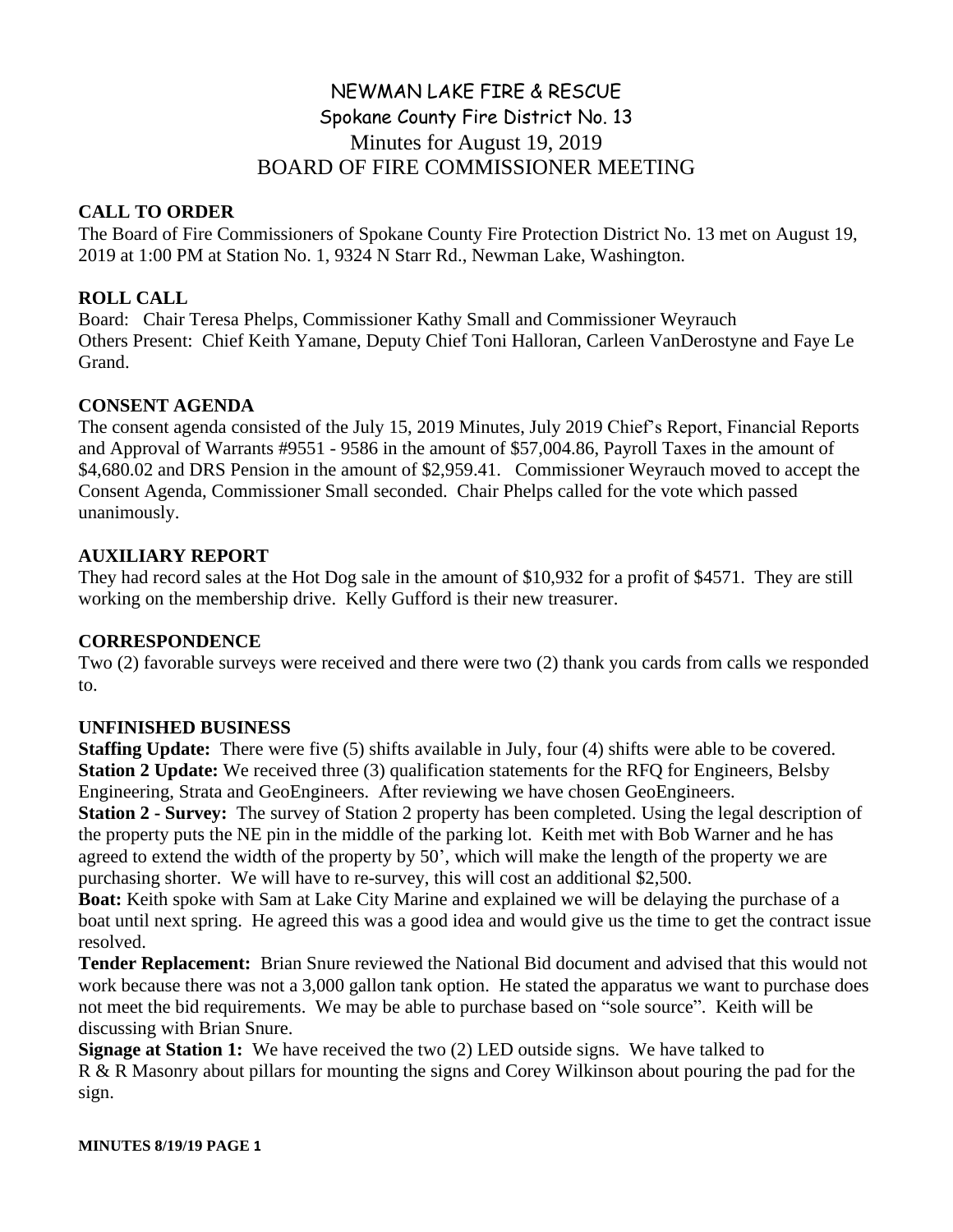# NEWMAN LAKE FIRE & RESCUE Spokane County Fire District No. 13 Minutes for August 19, 2019 BOARD OF FIRE COMMISSIONER MEETING

# **CALL TO ORDER**

The Board of Fire Commissioners of Spokane County Fire Protection District No. 13 met on August 19, 2019 at 1:00 PM at Station No. 1, 9324 N Starr Rd., Newman Lake, Washington.

# **ROLL CALL**

Board: Chair Teresa Phelps, Commissioner Kathy Small and Commissioner Weyrauch Others Present: Chief Keith Yamane, Deputy Chief Toni Halloran, Carleen VanDerostyne and Faye Le Grand.

### **CONSENT AGENDA**

The consent agenda consisted of the July 15, 2019 Minutes, July 2019 Chief's Report, Financial Reports and Approval of Warrants #9551 - 9586 in the amount of \$57,004.86, Payroll Taxes in the amount of \$4,680.02 and DRS Pension in the amount of \$2,959.41. Commissioner Weyrauch moved to accept the Consent Agenda, Commissioner Small seconded. Chair Phelps called for the vote which passed unanimously.

### **AUXILIARY REPORT**

They had record sales at the Hot Dog sale in the amount of \$10,932 for a profit of \$4571. They are still working on the membership drive. Kelly Gufford is their new treasurer.

#### **CORRESPONDENCE**

Two (2) favorable surveys were received and there were two (2) thank you cards from calls we responded to.

#### **UNFINISHED BUSINESS**

**Staffing Update:** There were five (5) shifts available in July, four (4) shifts were able to be covered. **Station 2 Update:** We received three (3) qualification statements for the RFQ for Engineers, Belsby Engineering, Strata and GeoEngineers. After reviewing we have chosen GeoEngineers.

**Station 2 - Survey:** The survey of Station 2 property has been completed. Using the legal description of the property puts the NE pin in the middle of the parking lot. Keith met with Bob Warner and he has agreed to extend the width of the property by 50', which will make the length of the property we are purchasing shorter. We will have to re-survey, this will cost an additional \$2,500.

**Boat:** Keith spoke with Sam at Lake City Marine and explained we will be delaying the purchase of a boat until next spring. He agreed this was a good idea and would give us the time to get the contract issue resolved.

**Tender Replacement:** Brian Snure reviewed the National Bid document and advised that this would not work because there was not a 3,000 gallon tank option. He stated the apparatus we want to purchase does not meet the bid requirements. We may be able to purchase based on "sole source". Keith will be discussing with Brian Snure.

**Signage at Station 1:** We have received the two (2) LED outside signs. We have talked to R & R Masonry about pillars for mounting the signs and Corey Wilkinson about pouring the pad for the sign.